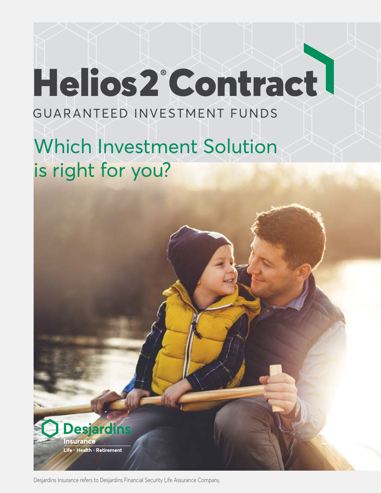# Helios2**®** Contract GUARANTEED INVESTMENT FUNDS

# Which Investment Solution is right for you?



Desjardins Insurance refers to Desjardins Financial Security Life Assurance Company.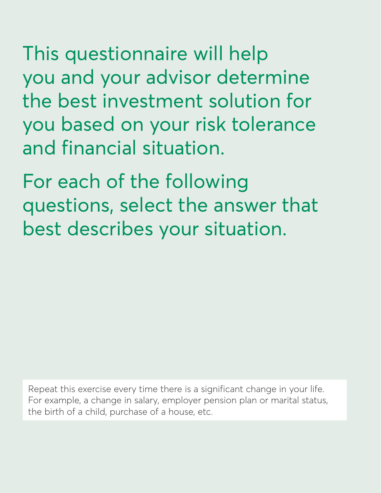This questionnaire will help you and your advisor determine the best investment solution for you based on your risk tolerance and financial situation.

For each of the following questions, select the answer that best describes your situation.

Repeat this exercise every time there is a significant change in your life. For example, a change in salary, employer pension plan or marital status, the birth of a child, purchase of a house, etc.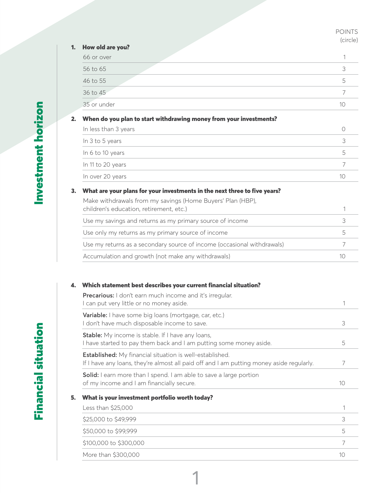## 1. How old are you?

| 66 or over  |    |
|-------------|----|
| 56 to 65    |    |
| 46 to 55    |    |
| 36 to 45    |    |
| 35 or under | 10 |

### 2. When do you plan to start withdrawing money from your investments?

| In less than 3 years |  |
|----------------------|--|
| In 3 to 5 years      |  |
| In 6 to 10 years     |  |
| In 11 to 20 years    |  |
| In over 20 years     |  |

## 3. What are your plans for your investments in the next three to five years?

| Make withdrawals from my savings (Home Buyers' Plan (HBP),<br>children's education, retirement, etc.) |  |
|-------------------------------------------------------------------------------------------------------|--|
| Use my savings and returns as my primary source of income                                             |  |
| Use only my returns as my primary source of income                                                    |  |
| Use my returns as a secondary source of income (occasional withdrawals)                               |  |
| Accumulation and growth (not make any withdrawals)                                                    |  |

# 4. Which statement best describes your current financial situation?

|    | <b>Precarious:</b> I don't earn much income and it's irregular.<br>I can put very little or no money aside.                                                 |    |
|----|-------------------------------------------------------------------------------------------------------------------------------------------------------------|----|
|    | Variable: I have some big loans (mortgage, car, etc.)<br>I don't have much disposable income to save.                                                       | 3  |
|    | <b>Stable:</b> My income is stable. If I have any loans,<br>I have started to pay them back and I am putting some money aside.                              | 5  |
|    | <b>Established:</b> My financial situation is well-established.<br>If I have any loans, they're almost all paid off and I am putting money aside regularly. |    |
|    | <b>Solid:</b> I earn more than I spend. I am able to save a large portion<br>of my income and I am financially secure.                                      | 10 |
| 5. | What is your investment portfolio worth today?                                                                                                              |    |
|    | Less than $$25,000$                                                                                                                                         |    |
|    | \$25,000 to \$49,999                                                                                                                                        | 3  |
|    | \$50,000 to \$99,999                                                                                                                                        | 5  |
|    | \$100,000 to \$300,000                                                                                                                                      | 7  |
|    | More than \$300,000                                                                                                                                         | 10 |
|    |                                                                                                                                                             |    |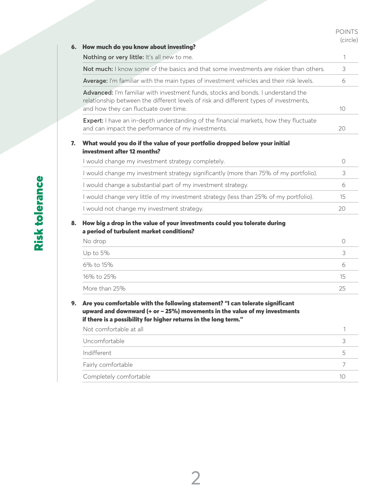POINTS

| 6. | How much do you know about investing?                                                                                                                                                                                           | (circle)       |
|----|---------------------------------------------------------------------------------------------------------------------------------------------------------------------------------------------------------------------------------|----------------|
|    | Nothing or very little: It's all new to me.                                                                                                                                                                                     | 1              |
|    | Not much: I know some of the basics and that some investments are riskier than others.                                                                                                                                          | 3              |
|    | Average: I'm familiar with the main types of investment vehicles and their risk levels.                                                                                                                                         | 6              |
|    | Advanced: I'm familiar with investment funds, stocks and bonds. I understand the<br>relationship between the different levels of risk and different types of investments,<br>and how they can fluctuate over time.              | 10             |
|    | Expert: I have an in-depth understanding of the financial markets, how they fluctuate<br>and can impact the performance of my investments.                                                                                      | 20             |
|    | What would you do if the value of your portfolio dropped below your initial<br>investment after 12 months?                                                                                                                      |                |
|    | I would change my investment strategy completely.                                                                                                                                                                               | $\circ$        |
|    | I would change my investment strategy significantly (more than 75% of my portfolio).                                                                                                                                            | 3              |
|    | I would change a substantial part of my investment strategy.                                                                                                                                                                    | 6              |
|    | I would change very little of my investment strategy (less than 25% of my portfolio).                                                                                                                                           | 15             |
|    | I would not change my investment strategy.                                                                                                                                                                                      | 20             |
| 8. | How big a drop in the value of your investments could you tolerate during<br>a period of turbulent market conditions?<br>No drop                                                                                                | $\circ$        |
|    | Up to 5%                                                                                                                                                                                                                        | 3              |
|    | 6% to 15%                                                                                                                                                                                                                       | 6              |
|    | 16% to 25%                                                                                                                                                                                                                      | 15             |
|    | More than 25%                                                                                                                                                                                                                   | 25             |
|    | Are you comfortable with the following statement? "I can tolerate significant<br>upward and downward $(+ or - 25%)$ movements in the value of my investments<br>if there is a possibility for higher returns in the long term." |                |
|    | Not comfortable at all                                                                                                                                                                                                          | 1              |
|    | Uncomfortable                                                                                                                                                                                                                   | 3              |
|    | Indifferent                                                                                                                                                                                                                     | 5              |
|    | Fairly comfortable                                                                                                                                                                                                              | $\overline{7}$ |
|    | Completely comfortable                                                                                                                                                                                                          | 10             |

2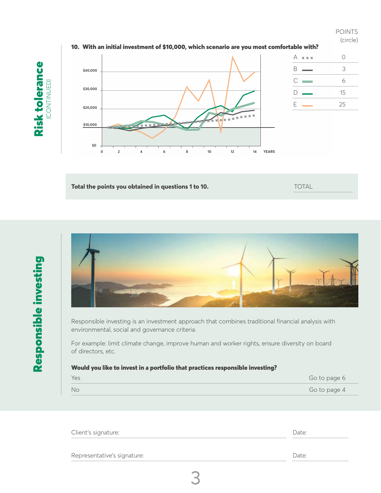

**Total the points you obtained in questions 1 to 10.** TOTAL



Responsible investing is an investment approach that combines traditional financial analysis with environmental, social and governance criteria.

For example: limit climate change, improve human and worker rights, ensure diversity on board of directors, etc.

#### Would you like to invest in a portfolio that practices responsible investing?

| Yes | Go to page 6 |
|-----|--------------|
| No  | Go to page 4 |

| Client's signature:         | Date: |  |
|-----------------------------|-------|--|
|                             |       |  |
| Representative's signature: | Date: |  |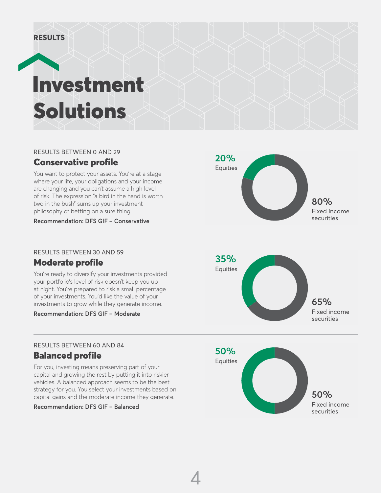# <span id="page-5-0"></span> **RESULTS**

# Investment Solutions

#### RESULTS BETWEEN 0 AND 29

# Conservative profile

You want to protect your assets. You're at a stage where your life, your obligations and your income are changing and you can't assume a high level of risk. The expression "a bird in the hand is worth two in the bush" sums up your investment philosophy of betting on a sure thing.

**Recommendation: DFS GIF – Conservative**

#### RESULTS BETWEEN 30 AND 59

# Moderate profile

You're ready to diversify your investments provided your portfolio's level of risk doesn't keep you up at night. You're prepared to risk a small percentage of your investments. You'd like the value of your investments to grow while they generate income.

**Recommendation: DFS GIF – Moderate**

## RESULTS BETWEEN 60 AND 84

# Balanced profile

For you, investing means preserving part of your capital and growing the rest by putting it into riskier vehicles. A balanced approach seems to be the best strategy for you. You select your investments based on capital gains and the moderate income they generate.

**Recommendation: DFS GIF – Balanced**







4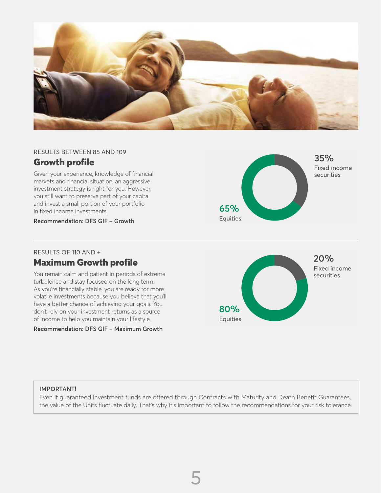

#### RESULTS BETWEEN 85 AND 109

# Growth profile

Given your experience, knowledge of financial markets and financial situation, an aggressive investment strategy is right for you. However, you still want to preserve part of your capital and invest a small portion of your portfolio in fixed income investments.

**Recommendation: DFS GIF – Growth**

# RESULTS OF 110 AND + Maximum Growth profile

You remain calm and patient in periods of extreme turbulence and stay focused on the long term. As you're financially stable, you are ready for more volatile investments because you believe that you'll have a better chance of achieving your goals. You don't rely on your investment returns as a source of income to help you maintain your lifestyle.

# **Recommendation: DFS GIF – Maximum Growth**





#### **IMPORTANT!**

Even if guaranteed investment funds are offered through Contracts with Maturity and Death Benefit Guarantees, the value of the Units fluctuate daily. That's why it's important to follow the recommendations for your risk tolerance.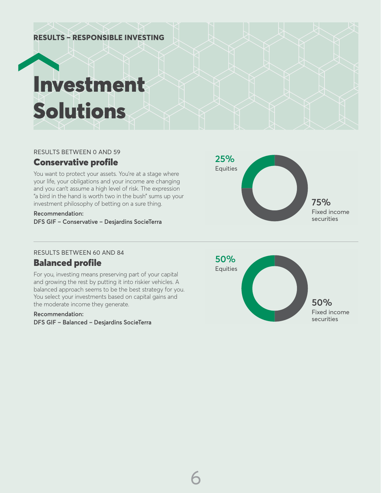# <span id="page-7-0"></span>**RESULTS – RESPONSIBLE INVESTING**

# Investment Solutions

#### RESULTS BETWEEN 0 AND 59

# Conservative profile

You want to protect your assets. You're at a stage where your life, your obligations and your income are changing and you can't assume a high level of risk. The expression "a bird in the hand is worth two in the bush" sums up your investment philosophy of betting on a sure thing.

## **Recommendation: DFS GIF – Conservative – Desjardins SocieTerra**

RESULTS BETWEEN 60 AND 84

# Balanced profile

For you, investing means preserving part of your capital and growing the rest by putting it into riskier vehicles. A balanced approach seems to be the best strategy for you. You select your investments based on capital gains and the moderate income they generate.

#### **Recommendation:**

**DFS GIF – Balanced – Desjardins SocieTerra**



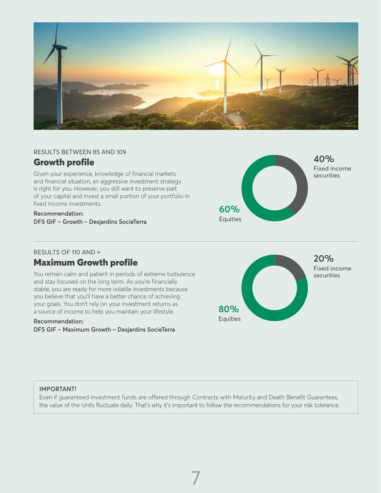

# RESULTS BETWEEN 85 AND 109

# Growth profile

Given your experience, knowledge of financial markets and financial situation, an aggressive investment strategy is right for you. However, you still want to preserve part of your capital and invest a small portion of your portfolio in fixed income investments.

# **Recommendation: DFS GIF – Growth – Desjardins SocieTerra**



# RESULTS OF 110 AND + Maximum Growth profile

You remain calm and patient in periods of extreme turbulence and stay focused on the long term. As you're financially stable, you are ready for more volatile investments because you believe that you'll have a better chance of achieving your goals. You don't rely on your investment returns as a source of income to help you maintain your lifestyle.

#### **Recommendation: DFS GIF – Maximum Growth – Desjardins SocieTerra**



## **IMPORTANT!**

Even if guaranteed investment funds are offered through Contracts with Maturity and Death Benefit Guarantees, the value of the Units fluctuate daily. That's why it's important to follow the recommendations for your risk tolerance.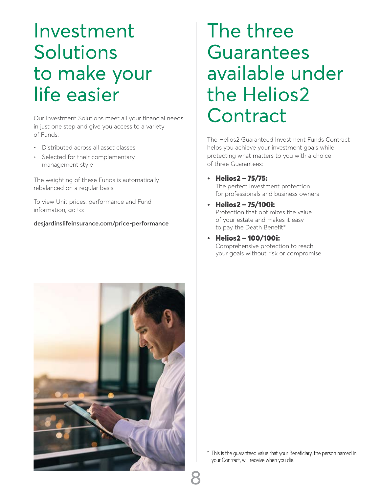# Investment **Solutions** to make your life easier

Our Investment Solutions meet all your financial needs in just one step and give you access to a variety of Funds:

- Distributed across all asset classes
- Selected for their complementary management style

The weighting of these Funds is automatically rebalanced on a regular basis.

To view Unit prices, performance and Fund information, go to:

### **desjardinslifeinsurance.com/price-performance**

# The three Guarantees available under the Helios2 **Contract**

The Helios2 Guaranteed Investment Funds Contract helps you achieve your investment goals while protecting what matters to you with a choice of three Guarantees:

• Helios2 – 75/75:

The perfect investment protection for professionals and business owners

- Helios2 75/100i: Protection that optimizes the value of your estate and makes it easy to pay the Death Benefit\*
- Helios2 100/100i: Comprehensive protection to reach your goals without risk or compromise



\* This is the guaranteed value that your Beneficiary, the person named in your Contract, will receive when you die.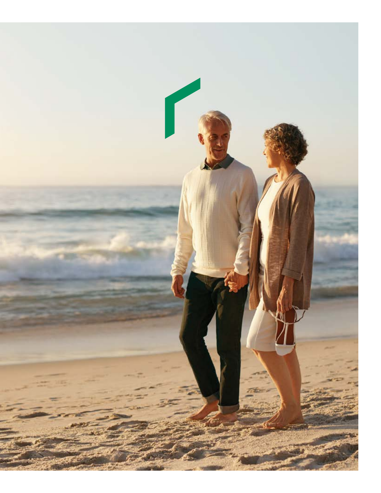